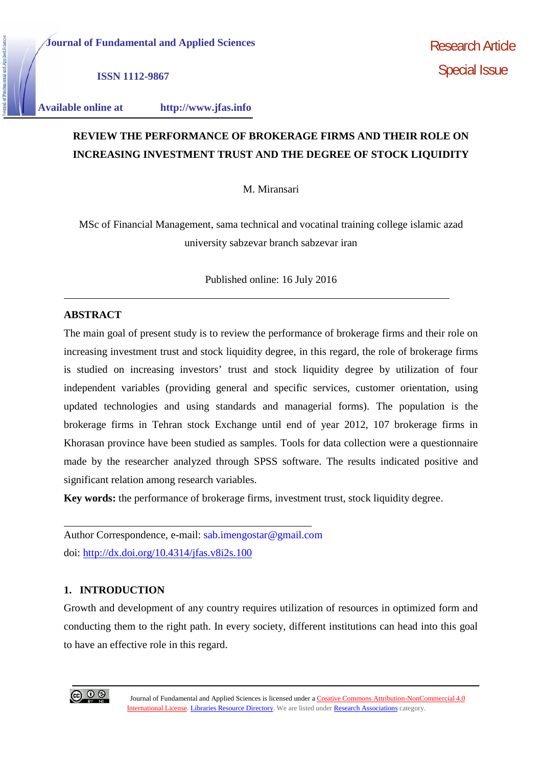**ISSN 1112-9867**

**Available online at http://www.jfas.info**

# **REVIEW THE PERFORMANCE OF BROKERAGE FIRMS AND THEIR ROLE ON INCREASING INVESTMENT TRUST AND THE DEGREE OF STOCK LIQUIDITY**

M. Miransari

MSc of Financial Management, sama technical and vocatinal training college islamic azad university sabzevar branch sabzevar iran

Published online: 16 July 2016

# **ABSTRACT**

The main goal of present study is to review the performance of brokerage firms and their role on increasing investment trust and stock liquidity degree, in this regard, the role of brokerage firms is studied on increasing investors' trust and stock liquidity degree by utilization of four independent variables (providing general and specific services, customer orientation, using updated technologies and using standards and managerial forms). The population is the brokerage firms in Tehran stock Exchange until end of year 2012, 107 brokerage firms in Khorasan province have been studied as samples. Tools for data collection were a questionnaire made by the researcher analyzed through SPSS software. The results indicated positive and significant relation among research variables.

**Key words:** the performance of brokerage firms, investment trust, stock liquidity degree.

Author Correspondence, e-mail: sab.imengostar@gmail.com doi: http://dx.doi.org/10.4314/jfas.v8i2s.100

# **1. INTRODUCTION**

Growth and development of any country requires utilization of resources in optimized form and conducting them to the right path. In every society, different institutions can head into this goal to have an effective role in this regard.

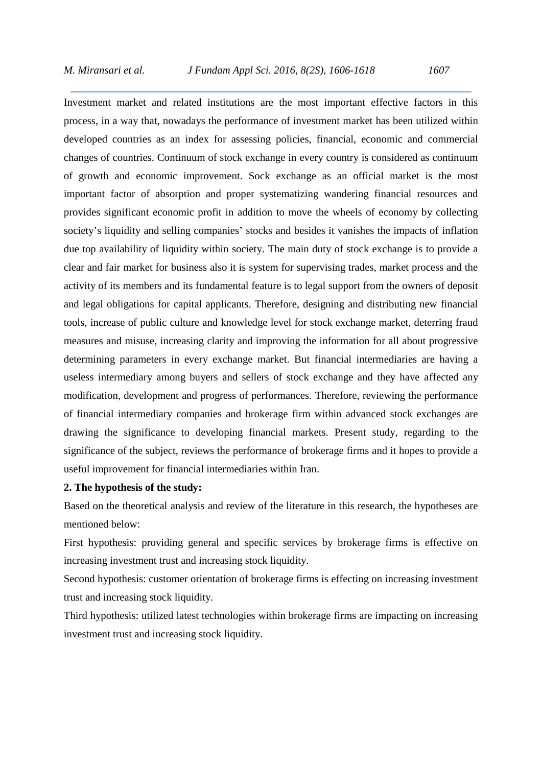Investment market and related institutions are the most important effective factors in this process, in a way that, nowadays the performance of investment market has been utilized within developed countries as an index for assessing policies, financial, economic and commercial changes of countries. Continuum of stock exchange in every country is considered as continuum of growth and economic improvement. Sock exchange as an official market is the most important factor of absorption and proper systematizing wandering financial resources and provides significant economic profit in addition to move the wheels of economy by collecting society's liquidity and selling companies' stocks and besides it vanishes the impacts of inflation due top availability of liquidity within society. The main duty of stock exchange is to provide a clear and fair market for business also it is system for supervising trades, market process and the activity of its members and its fundamental feature is to legal support from the owners of deposit and legal obligations for capital applicants. Therefore, designing and distributing new financial tools, increase of public culture and knowledge level for stock exchange market, deterring fraud measures and misuse, increasing clarity and improving the information for all about progressive determining parameters in every exchange market. But financial intermediaries are having a useless intermediary among buyers and sellers of stock exchange and they have affected any modification, development and progress of performances. Therefore, reviewing the performance of financial intermediary companies and brokerage firm within advanced stock exchanges are drawing the significance to developing financial markets. Present study, regarding to the significance of the subject, reviews the performance of brokerage firms and it hopes to provide a useful improvement for financial intermediaries within Iran.

#### **2. The hypothesis of the study:**

Based on the theoretical analysis and review of the literature in this research, the hypotheses are mentioned below:

First hypothesis: providing general and specific services by brokerage firms is effective on increasing investment trust and increasing stock liquidity.

Second hypothesis: customer orientation of brokerage firms is effecting on increasing investment trust and increasing stock liquidity.

Third hypothesis: utilized latest technologies within brokerage firms are impacting on increasing investment trust and increasing stock liquidity.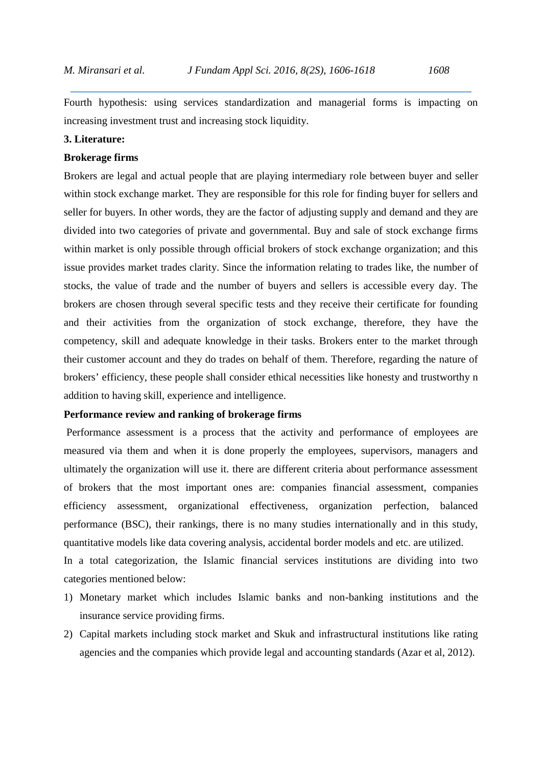Fourth hypothesis: using services standardization and managerial forms is impacting on increasing investment trust and increasing stock liquidity.

#### **3. Literature:**

#### **Brokerage firms**

Brokers are legal and actual people that are playing intermediary role between buyer and seller within stock exchange market. They are responsible for this role for finding buyer for sellers and seller for buyers. In other words, they are the factor of adjusting supply and demand and they are divided into two categories of private and governmental. Buy and sale of stock exchange firms within market is only possible through official brokers of stock exchange organization; and this issue provides market trades clarity. Since the information relating to trades like, the number of stocks, the value of trade and the number of buyers and sellers is accessible every day. The brokers are chosen through several specific tests and they receive their certificate for founding and their activities from the organization of stock exchange, therefore, they have the competency, skill and adequate knowledge in their tasks. Brokers enter to the market through their customer account and they do trades on behalf of them. Therefore, regarding the nature of brokers' efficiency, these people shall consider ethical necessities like honesty and trustworthy n addition to having skill, experience and intelligence.

#### **Performance review and ranking of brokerage firms**

Performance assessment is a process that the activity and performance of employees are measured via them and when it is done properly the employees, supervisors, managers and ultimately the organization will use it. there are different criteria about performance assessment of brokers that the most important ones are: companies financial assessment, companies efficiency assessment, organizational effectiveness, organization perfection, balanced performance (BSC), their rankings, there is no many studies internationally and in this study, quantitative models like data covering analysis, accidental border models and etc. are utilized.

In a total categorization, the Islamic financial services institutions are dividing into two categories mentioned below:

- 1) Monetary market which includes Islamic banks and non-banking institutions and the insurance service providing firms.
- 2) Capital markets including stock market and Skuk and infrastructural institutions like rating agencies and the companies which provide legal and accounting standards (Azar et al, 2012).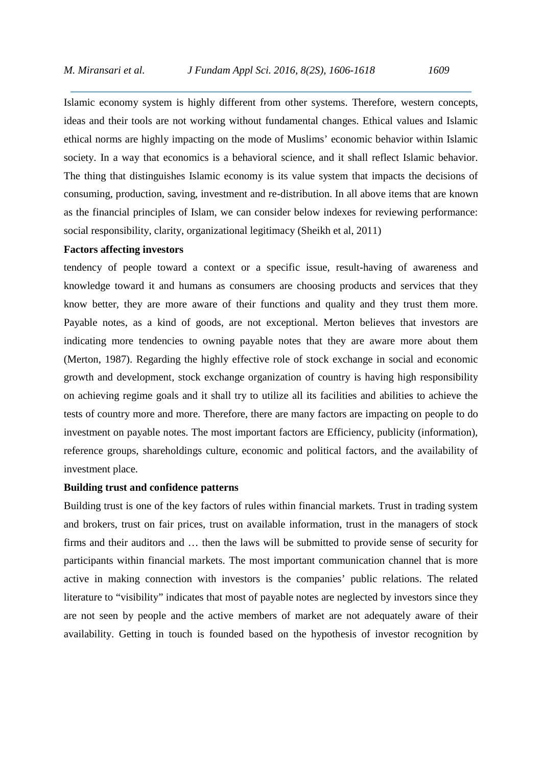Islamic economy system is highly different from other systems. Therefore, western concepts, ideas and their tools are not working without fundamental changes. Ethical values and Islamic ethical norms are highly impacting on the mode of Muslims' economic behavior within Islamic society. In a way that economics is a behavioral science, and it shall reflect Islamic behavior. The thing that distinguishes Islamic economy is its value system that impacts the decisions of consuming, production, saving, investment and re-distribution. In all above items that are known as the financial principles of Islam, we can consider below indexes for reviewing performance: social responsibility, clarity, organizational legitimacy (Sheikh et al, 2011)

#### **Factors affecting investors**

tendency of people toward a context or a specific issue, result-having of awareness and knowledge toward it and humans as consumers are choosing products and services that they know better, they are more aware of their functions and quality and they trust them more. Payable notes, as a kind of goods, are not exceptional. Merton believes that investors are indicating more tendencies to owning payable notes that they are aware more about them (Merton, 1987). Regarding the highly effective role of stock exchange in social and economic growth and development, stock exchange organization of country is having high responsibility on achieving regime goals and it shall try to utilize all its facilities and abilities to achieve the tests of country more and more. Therefore, there are many factors are impacting on people to do investment on payable notes. The most important factors are Efficiency, publicity (information), reference groups, shareholdings culture, economic and political factors, and the availability of investment place.

#### **Building trust and confidence patterns**

Building trust is one of the key factors of rules within financial markets. Trust in trading system and brokers, trust on fair prices, trust on available information, trust in the managers of stock firms and their auditors and … then the laws will be submitted to provide sense of security for participants within financial markets. The most important communication channel that is more active in making connection with investors is the companies' public relations. The related literature to "visibility" indicates that most of payable notes are neglected by investors since they are not seen by people and the active members of market are not adequately aware of their availability. Getting in touch is founded based on the hypothesis of investor recognition by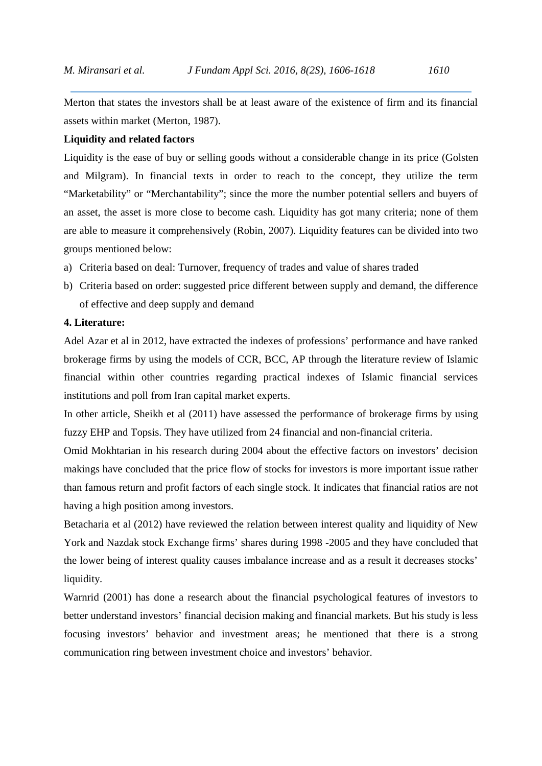Merton that states the investors shall be at least aware of the existence of firm and its financial assets within market (Merton, 1987).

#### **Liquidity and related factors**

Liquidity is the ease of buy or selling goods without a considerable change in its price (Golsten and Milgram). In financial texts in order to reach to the concept, they utilize the term "Marketability" or "Merchantability"; since the more the number potential sellers and buyers of an asset, the asset is more close to become cash. Liquidity has got many criteria; none of them are able to measure it comprehensively (Robin, 2007). Liquidity features can be divided into two groups mentioned below:

- a) Criteria based on deal: Turnover, frequency of trades and value of shares traded
- b) Criteria based on order: suggested price different between supply and demand, the difference of effective and deep supply and demand

# **4. Literature:**

Adel Azar et al in 2012, have extracted the indexes of professions' performance and have ranked brokerage firms by using the models of CCR, BCC, AP through the literature review of Islamic financial within other countries regarding practical indexes of Islamic financial services institutions and poll from Iran capital market experts.

In other article, Sheikh et al (2011) have assessed the performance of brokerage firms by using fuzzy EHP and Topsis. They have utilized from 24 financial and non-financial criteria.

Omid Mokhtarian in his research during 2004 about the effective factors on investors' decision makings have concluded that the price flow of stocks for investors is more important issue rather than famous return and profit factors of each single stock. It indicates that financial ratios are not having a high position among investors.

Betacharia et al (2012) have reviewed the relation between interest quality and liquidity of New York and Nazdak stock Exchange firms' shares during 1998 -2005 and they have concluded that the lower being of interest quality causes imbalance increase and as a result it decreases stocks' liquidity.

Warnrid (2001) has done a research about the financial psychological features of investors to better understand investors' financial decision making and financial markets. But his study is less focusing investors' behavior and investment areas; he mentioned that there is a strong communication ring between investment choice and investors' behavior.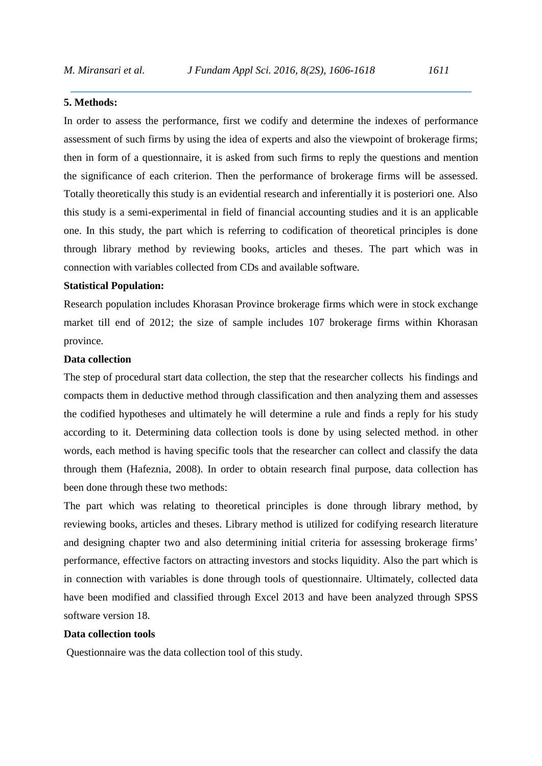# **5. Methods:**

In order to assess the performance, first we codify and determine the indexes of performance assessment of such firms by using the idea of experts and also the viewpoint of brokerage firms; then in form of a questionnaire, it is asked from such firms to reply the questions and mention the significance of each criterion. Then the performance of brokerage firms will be assessed. Totally theoretically this study is an evidential research and inferentially it is posteriori one. Also this study is a semi-experimental in field of financial accounting studies and it is an applicable one. In this study, the part which is referring to codification of theoretical principles is done through library method by reviewing books, articles and theses. The part which was in connection with variables collected from CDs and available software.

#### **Statistical Population:**

Research population includes Khorasan Province brokerage firms which were in stock exchange market till end of 2012; the size of sample includes 107 brokerage firms within Khorasan province.

#### **Data collection**

The step of procedural start data collection, the step that the researcher collects his findings and compacts them in deductive method through classification and then analyzing them and assesses the codified hypotheses and ultimately he will determine a rule and finds a reply for his study according to it. Determining data collection tools is done by using selected method. in other words, each method is having specific tools that the researcher can collect and classify the data through them (Hafeznia, 2008). In order to obtain research final purpose, data collection has been done through these two methods:

The part which was relating to theoretical principles is done through library method, by reviewing books, articles and theses. Library method is utilized for codifying research literature and designing chapter two and also determining initial criteria for assessing brokerage firms' performance, effective factors on attracting investors and stocks liquidity. Also the part which is in connection with variables is done through tools of questionnaire. Ultimately, collected data have been modified and classified through Excel 2013 and have been analyzed through SPSS software version 18.

## **Data collection tools**

Questionnaire was the data collection tool of this study.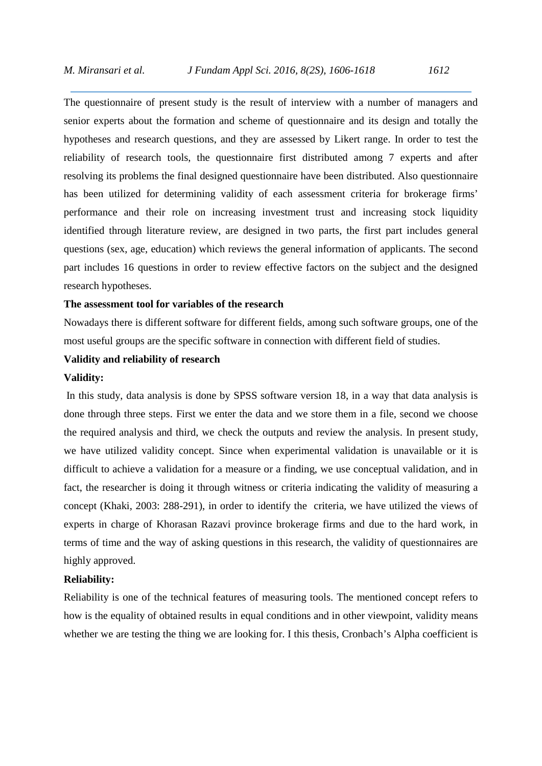The questionnaire of present study is the result of interview with a number of managers and senior experts about the formation and scheme of questionnaire and its design and totally the hypotheses and research questions, and they are assessed by Likert range. In order to test the reliability of research tools, the questionnaire first distributed among 7 experts and after resolving its problems the final designed questionnaire have been distributed. Also questionnaire has been utilized for determining validity of each assessment criteria for brokerage firms' performance and their role on increasing investment trust and increasing stock liquidity identified through literature review, are designed in two parts, the first part includes general questions (sex, age, education) which reviews the general information of applicants. The second part includes 16 questions in order to review effective factors on the subject and the designed research hypotheses.

#### **The assessment tool for variables of the research**

Nowadays there is different software for different fields, among such software groups, one of the most useful groups are the specific software in connection with different field of studies.

### **Validity and reliability of research**

#### **Validity:**

In this study, data analysis is done by SPSS software version 18, in a way that data analysis is done through three steps. First we enter the data and we store them in a file, second we choose the required analysis and third, we check the outputs and review the analysis. In present study, we have utilized validity concept. Since when experimental validation is unavailable or it is difficult to achieve a validation for a measure or a finding, we use conceptual validation, and in fact, the researcher is doing it through witness or criteria indicating the validity of measuring a concept (Khaki, 2003: 288-291), in order to identify the criteria, we have utilized the views of experts in charge of Khorasan Razavi province brokerage firms and due to the hard work, in terms of time and the way of asking questions in this research, the validity of questionnaires are highly approved.

#### **Reliability:**

Reliability is one of the technical features of measuring tools. The mentioned concept refers to how is the equality of obtained results in equal conditions and in other viewpoint, validity means whether we are testing the thing we are looking for. I this thesis, Cronbach's Alpha coefficient is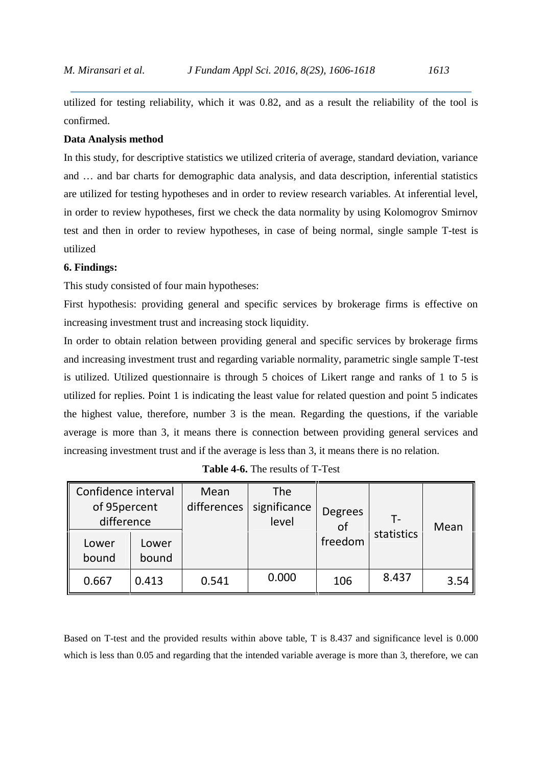utilized for testing reliability, which it was 0.82, and as a result the reliability of the tool is confirmed.

#### **Data Analysis method**

In this study, for descriptive statistics we utilized criteria of average, standard deviation, variance and … and bar charts for demographic data analysis, and data description, inferential statistics are utilized for testing hypotheses and in order to review research variables. At inferential level, in order to review hypotheses, first we check the data normality by using Kolomogrov Smirnov test and then in order to review hypotheses, in case of being normal, single sample T-test is utilized

#### **6. Findings:**

This study consisted of four main hypotheses:

First hypothesis: providing general and specific services by brokerage firms is effective on increasing investment trust and increasing stock liquidity.

In order to obtain relation between providing general and specific services by brokerage firms and increasing investment trust and regarding variable normality, parametric single sample T-test is utilized. Utilized questionnaire is through 5 choices of Likert range and ranks of 1 to 5 is utilized for replies. Point 1 is indicating the least value for related question and point 5 indicates the highest value, therefore, number 3 is the mean. Regarding the questions, if the variable average is more than 3, it means there is connection between providing general services and increasing investment trust and if the average is less than 3, it means there is no relation.

| Confidence interval         |                | Mean        | The                   |               |            |      |
|-----------------------------|----------------|-------------|-----------------------|---------------|------------|------|
| of 95 percent<br>difference |                | differences | significance<br>level | Degrees<br>of | т.         | Mean |
| Lower<br>bound              | Lower<br>bound |             |                       | freedom       | statistics |      |
| 0.667                       | 0.413          | 0.541       | 0.000                 | 106           | 8.437      | 3.54 |

Based on T-test and the provided results within above table, T is 8.437 and significance level is 0.000 which is less than 0.05 and regarding that the intended variable average is more than 3, therefore, we can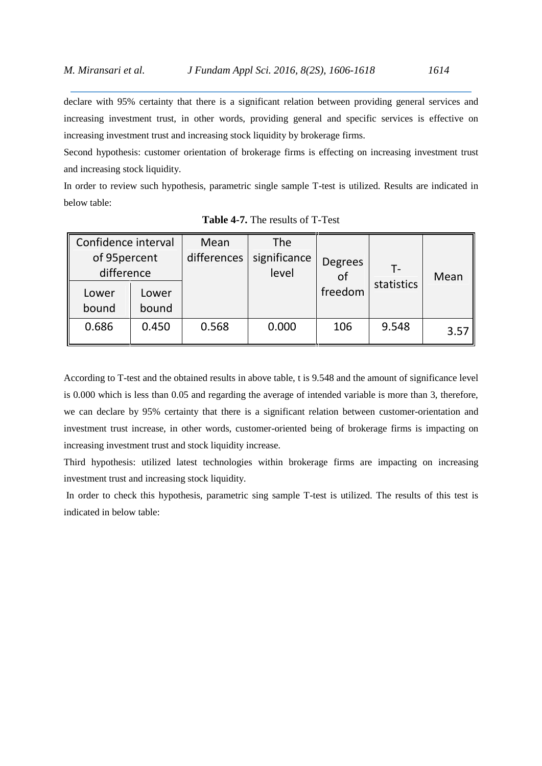declare with 95% certainty that there is a significant relation between providing general services and increasing investment trust, in other words, providing general and specific services is effective on increasing investment trust and increasing stock liquidity by brokerage firms.

Second hypothesis: customer orientation of brokerage firms is effecting on increasing investment trust and increasing stock liquidity.

In order to review such hypothesis, parametric single sample T-test is utilized. Results are indicated in below table:

| Confidence interval<br>of 95 percent<br>difference |                | Mean<br>differences | <b>The</b><br>significance<br>level | Degrees<br>of | т-         | Mean |
|----------------------------------------------------|----------------|---------------------|-------------------------------------|---------------|------------|------|
| Lower<br>bound                                     | Lower<br>bound |                     |                                     | freedom       | statistics |      |
| 0.686                                              | 0.450          | 0.568               | 0.000                               | 106           | 9.548      | 3.57 |

**Table 4-7.** The results of T-Test

According to T-test and the obtained results in above table, t is 9.548 and the amount of significance level is 0.000 which is less than 0.05 and regarding the average of intended variable is more than 3, therefore, we can declare by 95% certainty that there is a significant relation between customer-orientation and investment trust increase, in other words, customer-oriented being of brokerage firms is impacting on increasing investment trust and stock liquidity increase.

Third hypothesis: utilized latest technologies within brokerage firms are impacting on increasing investment trust and increasing stock liquidity.

In order to check this hypothesis, parametric sing sample T-test is utilized. The results of this test is indicated in below table: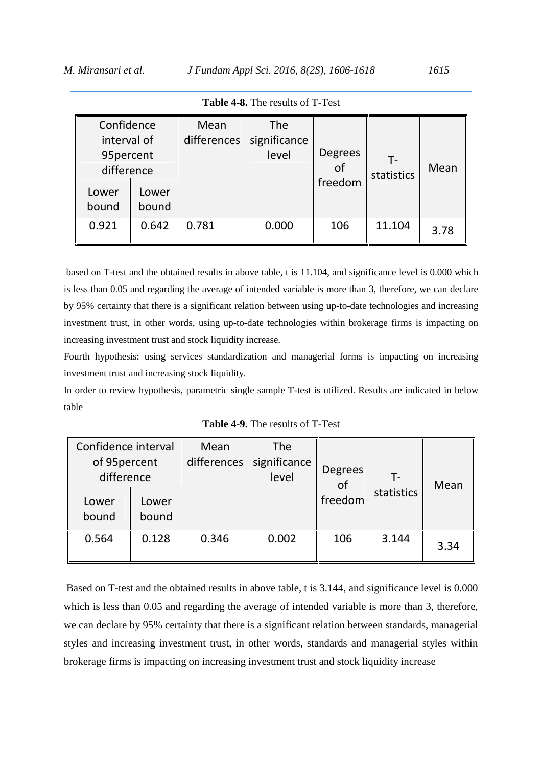| Confidence<br>interval of<br>95percent<br>difference<br>Lower<br>bound | Lower<br>bound | Mean<br>differences | <b>The</b><br>significance<br>level | Degrees<br>of<br>freedom | т-<br>statistics | Mean |
|------------------------------------------------------------------------|----------------|---------------------|-------------------------------------|--------------------------|------------------|------|
| 0.921                                                                  | 0.642          | 0.781               | 0.000                               | 106                      | 11.104           | 3.78 |

**Table 4-8.** The results of T-Test

based on T-test and the obtained results in above table, t is 11.104, and significance level is 0.000 which is less than 0.05 and regarding the average of intended variable is more than 3, therefore, we can declare by 95% certainty that there is a significant relation between using up-to-date technologies and increasing investment trust, in other words, using up-to-date technologies within brokerage firms is impacting on increasing investment trust and stock liquidity increase.

Fourth hypothesis: using services standardization and managerial forms is impacting on increasing investment trust and increasing stock liquidity.

In order to review hypothesis, parametric single sample T-test is utilized. Results are indicated in below table

| Confidence interval<br>of 95 percent<br>difference |                | Mean<br>differences | <b>The</b><br>significance<br>level | <b>Degrees</b><br>of | т-         | Mean |
|----------------------------------------------------|----------------|---------------------|-------------------------------------|----------------------|------------|------|
| Lower<br>bound                                     | Lower<br>bound |                     |                                     | freedom              | statistics |      |
| 0.564                                              | 0.128          | 0.346               | 0.002                               | 106                  | 3.144      | 3.34 |

**Table 4-9.** The results of T-Test

Based on T-test and the obtained results in above table, t is 3.144, and significance level is 0.000 which is less than 0.05 and regarding the average of intended variable is more than 3, therefore, we can declare by 95% certainty that there is a significant relation between standards, managerial styles and increasing investment trust, in other words, standards and managerial styles within brokerage firms is impacting on increasing investment trust and stock liquidity increase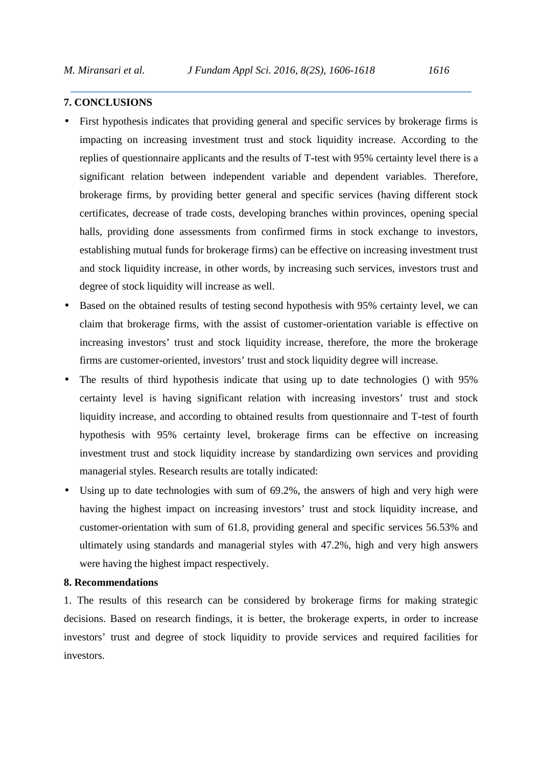- First hypothesis indicates that providing general and specific services by brokerage firms is impacting on increasing investment trust and stock liquidity increase. According to the replies of questionnaire applicants and the results of T-test with 95% certainty level there is a significant relation between independent variable and dependent variables. Therefore, brokerage firms, by providing better general and specific services (having different stock certificates, decrease of trade costs, developing branches within provinces, opening special halls, providing done assessments from confirmed firms in stock exchange to investors, establishing mutual funds for brokerage firms) can be effective on increasing investment trust and stock liquidity increase, in other words, by increasing such services, investors trust and degree of stock liquidity will increase as well.
- Based on the obtained results of testing second hypothesis with 95% certainty level, we can claim that brokerage firms, with the assist of customer-orientation variable is effective on increasing investors' trust and stock liquidity increase, therefore, the more the brokerage firms are customer-oriented, investors' trust and stock liquidity degree will increase.
- The results of third hypothesis indicate that using up to date technologies () with 95% certainty level is having significant relation with increasing investors' trust and stock liquidity increase, and according to obtained results from questionnaire and T-test of fourth hypothesis with 95% certainty level, brokerage firms can be effective on increasing investment trust and stock liquidity increase by standardizing own services and providing managerial styles. Research results are totally indicated:
- Using up to date technologies with sum of 69.2%, the answers of high and very high were having the highest impact on increasing investors' trust and stock liquidity increase, and customer-orientation with sum of 61.8, providing general and specific services 56.53% and ultimately using standards and managerial styles with 47.2%, high and very high answers were having the highest impact respectively.

# **8. Recommendations**

1. The results of this research can be considered by brokerage firms for making strategic decisions. Based on research findings, it is better, the brokerage experts, in order to increase investors' trust and degree of stock liquidity to provide services and required facilities for investors.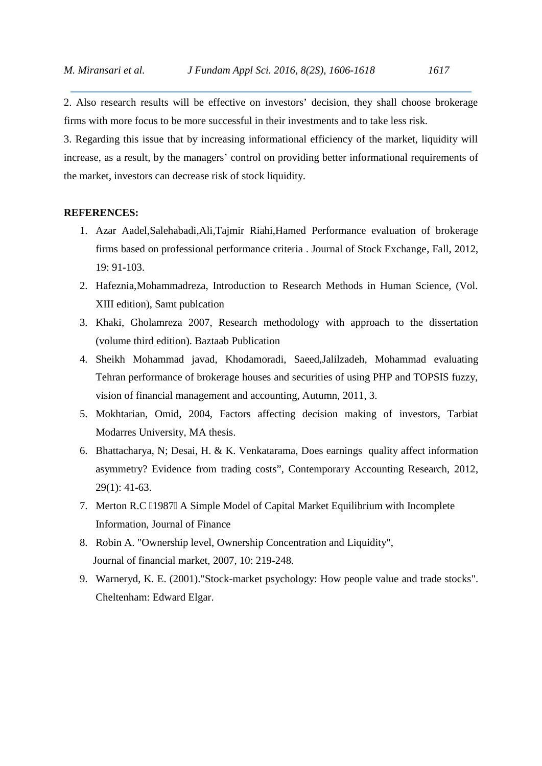2. Also research results will be effective on investors' decision, they shall choose brokerage firms with more focus to be more successful in their investments and to take less risk.

3. Regarding this issue that by increasing informational efficiency of the market, liquidity will increase, as a result, by the managers' control on providing better informational requirements of the market, investors can decrease risk of stock liquidity.

### **REFERENCES:**

- 1. Azar Aadel,Salehabadi,Ali,Tajmir Riahi,Hamed Performance evaluation of brokerage firms based on professional performance criteria . Journal of Stock Exchange, Fall, 2012, 19: 91-103.
- 2. Hafeznia,Mohammadreza, Introduction to Research Methods in Human Science, (Vol. XIII edition), Samt publcation
- 3. Khaki, Gholamreza 2007, Research methodology with approach to the dissertation (volume third edition). Baztaab Publication
- 4. Sheikh Mohammad javad, Khodamoradi, Saeed,Jalilzadeh, Mohammad evaluating Tehran performance of brokerage houses and securities of using PHP and TOPSIS fuzzy, vision of financial management and accounting, Autumn, 2011, 3.
- 5. Mokhtarian, Omid, 2004, Factors affecting decision making of investors, Tarbiat Modarres University, MA thesis.
- 6. Bhattacharya, N; Desai, H. & K. Venkatarama, Does earnings quality affect information asymmetry? Evidence from trading costs", Contemporary Accounting Research, 2012, 29(1): 41-63.
- 7. Merton R.C 1987 A Simple Model of Capital Market Equilibrium with Incomplete Information, Journal of Finance
- 8. Robin A. "Ownership level, Ownership Concentration and Liquidity", Journal of financial market, 2007, 10: 219-248.
- 9. Warneryd, K. E. (2001)."Stock-market psychology: How people value and trade stocks". Cheltenham: Edward Elgar.